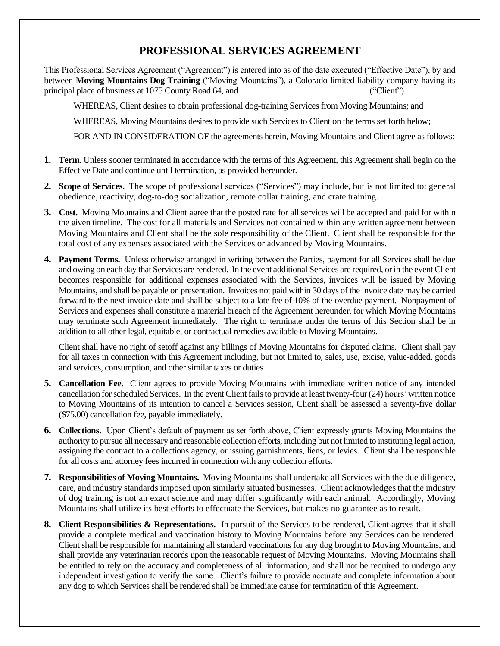## **PROFESSIONAL SERVICES AGREEMENT**

This Professional Services Agreement ("Agreement") is entered into as of the date executed ("Effective Date"), by and between **Moving Mountains Dog Training** ("Moving Mountains"), a Colorado limited liability company having its principal place of business at 1075 County Road 64, and ("Client").

WHEREAS, Client desires to obtain professional dog-training Services from Moving Mountains; and

WHEREAS, Moving Mountains desires to provide such Services to Client on the terms set forth below;

FOR AND IN CONSIDERATION OF the agreements herein, Moving Mountains and Client agree as follows:

- **1. Term.** Unless sooner terminated in accordance with the terms of this Agreement, this Agreement shall begin on the Effective Date and continue until termination, as provided hereunder.
- **2. Scope of Services.** The scope of professional services ("Services") may include, but is not limited to: general obedience, reactivity, dog-to-dog socialization, remote collar training, and crate training.
- **3. Cost.** Moving Mountains and Client agree that the posted rate for all services will be accepted and paid for within the given timeline. The cost for all materials and Services not contained within any written agreement between Moving Mountains and Client shall be the sole responsibility of the Client. Client shall be responsible for the total cost of any expenses associated with the Services or advanced by Moving Mountains.
- **4. Payment Terms.** Unless otherwise arranged in writing between the Parties, payment for all Services shall be due and owing on each day that Services are rendered. In the event additional Services are required, or in the event Client becomes responsible for additional expenses associated with the Services, invoices will be issued by Moving Mountains, and shall be payable on presentation. Invoices not paid within 30 days of the invoice date may be carried forward to the next invoice date and shall be subject to a late fee of 10% of the overdue payment. Nonpayment of Services and expenses shall constitute a material breach of the Agreement hereunder, for which Moving Mountains may terminate such Agreement immediately. The right to terminate under the terms of this Section shall be in addition to all other legal, equitable, or contractual remedies available to Moving Mountains.

Client shall have no right of setoff against any billings of Moving Mountains for disputed claims. Client shall pay for all taxes in connection with this Agreement including, but not limited to, sales, use, excise, value-added, goods and services, consumption, and other similar taxes or duties

- **5. Cancellation Fee.** Client agrees to provide Moving Mountains with immediate written notice of any intended cancellation for scheduled Services. In the event Client fails to provide at least twenty-four (24) hours' written notice to Moving Mountains of its intention to cancel a Services session, Client shall be assessed a seventy-five dollar (\$75.00) cancellation fee, payable immediately.
- **6. Collections.** Upon Client's default of payment as set forth above, Client expressly grants Moving Mountains the authority to pursue all necessary and reasonable collection efforts, including but not limited to instituting legal action, assigning the contract to a collections agency, or issuing garnishments, liens, or levies. Client shall be responsible for all costs and attorney fees incurred in connection with any collection efforts.
- **7. Responsibilities of Moving Mountains.** Moving Mountains shall undertake all Services with the due diligence, care, and industry standards imposed upon similarly situated businesses. Client acknowledges that the industry of dog training is not an exact science and may differ significantly with each animal. Accordingly, Moving Mountains shall utilize its best efforts to effectuate the Services, but makes no guarantee as to result.
- **8. Client Responsibilities & Representations.** In pursuit of the Services to be rendered, Client agrees that it shall provide a complete medical and vaccination history to Moving Mountains before any Services can be rendered. Client shall be responsible for maintaining all standard vaccinations for any dog brought to Moving Mountains, and shall provide any veterinarian records upon the reasonable request of Moving Mountains. Moving Mountains shall be entitled to rely on the accuracy and completeness of all information, and shall not be required to undergo any independent investigation to verify the same. Client's failure to provide accurate and complete information about any dog to which Services shall be rendered shall be immediate cause for termination of this Agreement.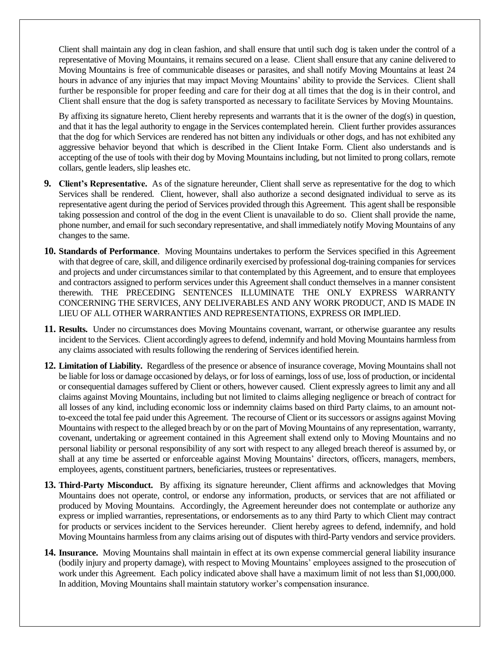Client shall maintain any dog in clean fashion, and shall ensure that until such dog is taken under the control of a representative of Moving Mountains, it remains secured on a lease. Client shall ensure that any canine delivered to Moving Mountains is free of communicable diseases or parasites, and shall notify Moving Mountains at least 24 hours in advance of any injuries that may impact Moving Mountains' ability to provide the Services. Client shall further be responsible for proper feeding and care for their dog at all times that the dog is in their control, and Client shall ensure that the dog is safety transported as necessary to facilitate Services by Moving Mountains.

By affixing its signature hereto, Client hereby represents and warrants that it is the owner of the dog(s) in question, and that it has the legal authority to engage in the Services contemplated herein. Client further provides assurances that the dog for which Services are rendered has not bitten any individuals or other dogs, and has not exhibited any aggressive behavior beyond that which is described in the Client Intake Form. Client also understands and is accepting of the use of tools with their dog by Moving Mountains including, but not limited to prong collars, remote collars, gentle leaders, slip leashes etc.

- **9. Client's Representative.** As of the signature hereunder, Client shall serve as representative for the dog to which Services shall be rendered. Client, however, shall also authorize a second designated individual to serve as its representative agent during the period of Services provided through this Agreement. This agent shall be responsible taking possession and control of the dog in the event Client is unavailable to do so. Client shall provide the name, phone number, and email for such secondary representative, and shall immediately notify Moving Mountains of any changes to the same.
- **10. Standards of Performance**. Moving Mountains undertakes to perform the Services specified in this Agreement with that degree of care, skill, and diligence ordinarily exercised by professional dog-training companies for services and projects and under circumstances similar to that contemplated by this Agreement, and to ensure that employees and contractors assigned to perform services under this Agreement shall conduct themselves in a manner consistent therewith. THE PRECEDING SENTENCES ILLUMINATE THE ONLY EXPRESS WARRANTY CONCERNING THE SERVICES, ANY DELIVERABLES AND ANY WORK PRODUCT, AND IS MADE IN LIEU OF ALL OTHER WARRANTIES AND REPRESENTATIONS, EXPRESS OR IMPLIED.
- **11. Results.** Under no circumstances does Moving Mountains covenant, warrant, or otherwise guarantee any results incident to the Services. Client accordingly agrees to defend, indemnify and hold Moving Mountains harmless from any claims associated with results following the rendering of Services identified herein.
- **12. Limitation of Liability.** Regardless of the presence or absence of insurance coverage, Moving Mountains shall not be liable for loss or damage occasioned by delays, or for loss of earnings, loss of use, loss of production, or incidental or consequential damages suffered by Client or others, however caused. Client expressly agrees to limit any and all claims against Moving Mountains, including but not limited to claims alleging negligence or breach of contract for all losses of any kind, including economic loss or indemnity claims based on third Party claims, to an amount notto-exceed the total fee paid under this Agreement. The recourse of Client or its successors or assigns against Moving Mountains with respect to the alleged breach by or on the part of Moving Mountains of any representation, warranty, covenant, undertaking or agreement contained in this Agreement shall extend only to Moving Mountains and no personal liability or personal responsibility of any sort with respect to any alleged breach thereof is assumed by, or shall at any time be asserted or enforceable against Moving Mountains' directors, officers, managers, members, employees, agents, constituent partners, beneficiaries, trustees or representatives.
- **13. Third-Party Misconduct.** By affixing its signature hereunder, Client affirms and acknowledges that Moving Mountains does not operate, control, or endorse any information, products, or services that are not affiliated or produced by Moving Mountains. Accordingly, the Agreement hereunder does not contemplate or authorize any express or implied warranties, representations, or endorsements as to any third Party to which Client may contract for products or services incident to the Services hereunder. Client hereby agrees to defend, indemnify, and hold Moving Mountains harmlessfrom any claims arising out of disputes with third-Party vendors and service providers.
- **14. Insurance.** Moving Mountains shall maintain in effect at its own expense commercial general liability insurance (bodily injury and property damage), with respect to Moving Mountains' employees assigned to the prosecution of work under this Agreement. Each policy indicated above shall have a maximum limit of not less than \$1,000,000. In addition, Moving Mountains shall maintain statutory worker's compensation insurance.